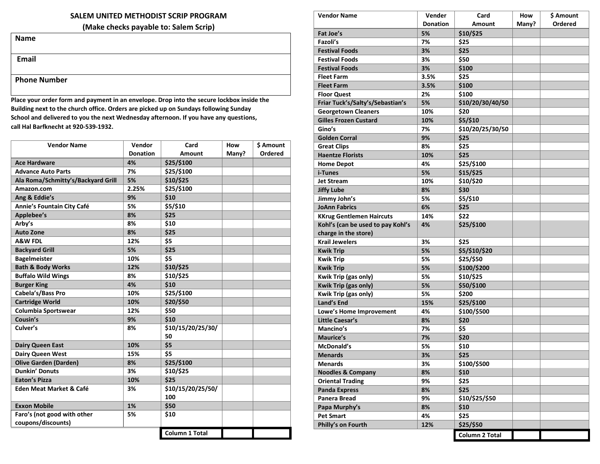#### **SALEM UNITED METHODIST SCRIP PROGRAM**

**(Make checks payable to: Salem Scrip)**

| <b>Name</b> |  |  |
|-------------|--|--|
|             |  |  |
|             |  |  |

**Email**

#### **Phone Number**

**Place your order form and payment in an envelope. Drop into the secure lockbox inside the Building next to the church office. Orders are picked up on Sundays following Sunday School and delivered to you the next Wednesday afternoon. If you have any questions, call Hal Barfknecht at 920-539-1932.**

| <b>Vendor Name</b>                 | Vendor          | Card                  | How   | \$ Amount |
|------------------------------------|-----------------|-----------------------|-------|-----------|
|                                    | <b>Donation</b> | Amount                | Many? | Ordered   |
| <b>Ace Hardware</b>                | 4%              | \$25/\$100            |       |           |
| <b>Advance Auto Parts</b>          | 7%              | \$25/\$100            |       |           |
| Ala Roma/Schmitty's/Backyard Grill | 5%              | \$10/\$25             |       |           |
| Amazon.com                         | 2.25%           | \$25/\$100            |       |           |
| Ang & Eddie's                      | 9%              | \$10                  |       |           |
| Annie's Fountain City Café         | 5%              | \$5/\$10              |       |           |
| Applebee's                         | 8%              | \$25                  |       |           |
| Arby's                             | 8%              | \$10                  |       |           |
| <b>Auto Zone</b>                   | 8%              | \$25                  |       |           |
| A&W FDL                            | 12%             | \$5                   |       |           |
| <b>Backyard Grill</b>              | 5%              | \$25                  |       |           |
| <b>BageImeister</b>                | 10%             | \$5                   |       |           |
| <b>Bath &amp; Body Works</b>       | 12%             | \$10/\$25             |       |           |
| <b>Buffalo Wild Wings</b>          | 8%              | \$10/\$25             |       |           |
| <b>Burger King</b>                 | 4%              | \$10                  |       |           |
| Cabela's/Bass Pro                  | 10%             | \$25/\$100            |       |           |
| <b>Cartridge World</b>             | 10%             | \$20/\$50             |       |           |
| Columbia Sportswear                | 12%             | \$50                  |       |           |
| Cousin's                           | 9%              | \$10                  |       |           |
| Culver's                           | 8%              | \$10/15/20/25/30/     |       |           |
|                                    |                 | 50                    |       |           |
| <b>Dairy Queen East</b>            | 10%             | \$5                   |       |           |
| <b>Dairy Queen West</b>            | 15%             | \$5                   |       |           |
| <b>Olive Garden (Darden)</b>       | 8%              | \$25/\$100            |       |           |
| <b>Dunkin' Donuts</b>              | 3%              | \$10/\$25             |       |           |
| <b>Eaton's Pizza</b>               | 10%             | \$25                  |       |           |
| <b>Eden Meat Market &amp; Café</b> | 3%              | \$10/15/20/25/50/     |       |           |
|                                    |                 | 100                   |       |           |
| <b>Exxon Mobile</b>                | 1%              | \$50                  |       |           |
| Faro's (not good with other        | 5%              | \$10                  |       |           |
| coupons/discounts)                 |                 |                       |       |           |
|                                    |                 | <b>Column 1 Total</b> |       |           |

| <b>Vendor Name</b>                | Vender          | Card             | How   | \$ Amount |
|-----------------------------------|-----------------|------------------|-------|-----------|
|                                   | <b>Donation</b> | Amount           | Many? | Ordered   |
| Fat Joe's                         | 5%              | \$10/\$25        |       |           |
| Fazoli's                          | 7%              | \$25             |       |           |
| <b>Festival Foods</b>             | 3%              | \$25             |       |           |
| <b>Festival Foods</b>             | 3%              | \$50             |       |           |
| <b>Festival Foods</b>             | 3%              | \$100            |       |           |
| <b>Fleet Farm</b>                 | 3.5%            | \$25             |       |           |
| <b>Fleet Farm</b>                 | 3.5%            | \$100            |       |           |
| <b>Floor Quest</b>                | 2%              | \$100            |       |           |
| Friar Tuck's/Salty's/Sebastian's  | 5%              | \$10/20/30/40/50 |       |           |
| <b>Georgetown Cleaners</b>        | 10%             | \$20             |       |           |
| <b>Gilles Frozen Custard</b>      | 10%             | \$5/\$10         |       |           |
| Gino's                            | 7%              | \$10/20/25/30/50 |       |           |
| <b>Golden Corral</b>              | 9%              | \$25             |       |           |
| <b>Great Clips</b>                | 8%              | \$25             |       |           |
| <b>Haentze Florists</b>           | 10%             | \$25             |       |           |
| <b>Home Depot</b>                 | 4%              | \$25/\$100       |       |           |
| i-Tunes                           | 5%              | \$15/\$25        |       |           |
| <b>Jet Stream</b>                 | 10%             | \$10/\$20        |       |           |
| <b>Jiffy Lube</b>                 | 8%              | \$30             |       |           |
| Jimmy John's                      | 5%              | \$5/\$10         |       |           |
| <b>JoAnn Fabrics</b>              | 6%              | \$25             |       |           |
| <b>KKrug Gentlemen Haircuts</b>   | 14%             | \$22             |       |           |
| Kohl's (can be used to pay Kohl's | 4%              | \$25/\$100       |       |           |
| charge in the store)              |                 |                  |       |           |
| <b>Krail Jewelers</b>             | 3%              | \$25             |       |           |
| <b>Kwik Trip</b>                  | 5%              | \$5/\$10/\$20    |       |           |
| <b>Kwik Trip</b>                  | 5%              | \$25/\$50        |       |           |
| <b>Kwik Trip</b>                  | 5%              | \$100/\$200      |       |           |
| Kwik Trip (gas only)              | 5%              | \$10/\$25        |       |           |
| Kwik Trip (gas only)              | 5%              | \$50/\$100       |       |           |
| Kwik Trip (gas only)              | 5%              | \$200            |       |           |
| Land's End                        | 15%             | \$25/\$100       |       |           |
| Lowe's Home Improvement           | 4%              | \$100/\$500      |       |           |
| Little Caesar's                   | 8%              | \$20             |       |           |
| Mancino's                         | 7%              | \$5              |       |           |
| <b>Maurice's</b>                  | 7%              | \$20             |       |           |
| McDonald's                        | 5%              | \$10             |       |           |
| <b>Menards</b>                    | 3%              | \$25             |       |           |
| <b>Menards</b>                    | 3%              | \$100/\$500      |       |           |
| <b>Noodles &amp; Company</b>      | 8%              | \$10             |       |           |
| <b>Oriental Trading</b>           | 9%              | \$25             |       |           |
| <b>Panda Express</b>              | 8%              | \$25             |       |           |
| Panera Bread                      | 9%              | \$10/\$25/\$50   |       |           |
| Papa Murphy's                     | 8%              | \$10             |       |           |
| <b>Pet Smart</b>                  | 4%              | \$25             |       |           |
| Philly's on Fourth                | 12%             | \$25/\$50        |       |           |
|                                   |                 | Column 2 Total   |       |           |
|                                   |                 |                  |       |           |